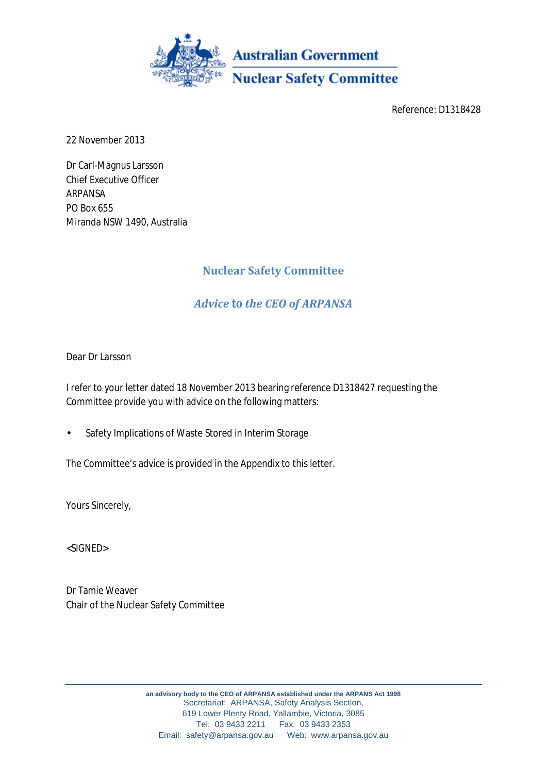

Reference: D1318428

22 November 2013

Dr Carl-Magnus Larsson Chief Executive Officer ARPANSA PO Box 655 Miranda NSW 1490, Australia

# **Nuclear Safety Committee**

# *Advice to the CEO of ARPANSA*

Dear Dr Larsson

I refer to your letter dated 18 November 2013 bearing reference D1318427 requesting the Committee provide you with advice on the following matters:

Safety Implications of Waste Stored in Interim Storage

The Committee's advice is provided in the Appendix to this letter.

Yours Sincerely,

<SIGNED>

Dr Tamie Weaver Chair of the Nuclear Safety Committee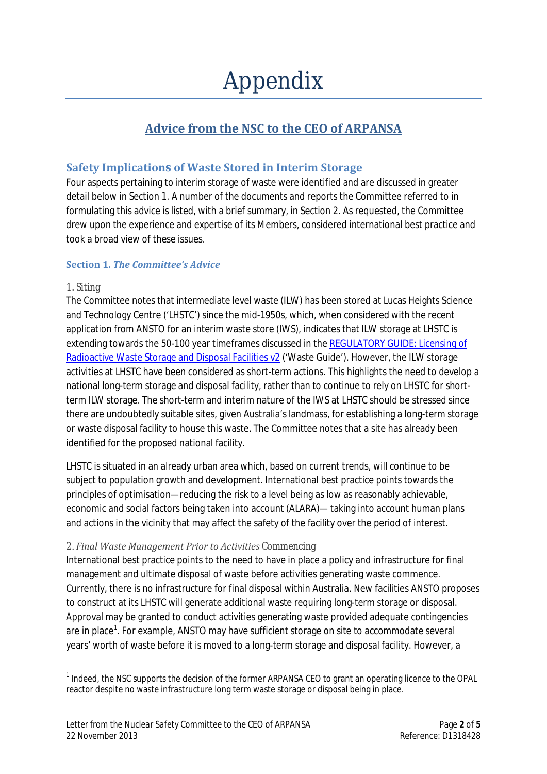# **Advice from the NSC to the CEO of ARPANSA**

# **Safety Implications of Waste Stored in Interim Storage**

Four aspects pertaining to interim storage of waste were identified and are discussed in greater detail below in Section 1. A number of the documents and reports the Committee referred to in formulating this advice is listed, with a brief summary, in Section 2. As requested, the Committee drew upon the experience and expertise of its Members, considered international best practice and took a broad view of these issues.

# **Section 1.** *The Committee's Advice*

#### 1. *Siting*

The Committee notes that intermediate level waste (ILW) has been stored at Lucas Heights Science and Technology Centre ('LHSTC') since the mid-1950s, which, when considered with the recent application from ANSTO for an interim waste store (IWS), indicates that ILW storage at LHSTC is extending towards the 50-100 year timeframes discussed in th[e REGULATORY GUIDE: Licensing of](http://www.arpansa.gov.au/pubs/waste/WasteGuide-March2013.pdf)  [Radioactive Waste Storage and Disposal Facilities v2](http://www.arpansa.gov.au/pubs/waste/WasteGuide-March2013.pdf) ('Waste Guide'). However, the ILW storage activities at LHSTC have been considered as short-term actions. This highlights the need to develop a national long-term storage and disposal facility, rather than to continue to rely on LHSTC for shortterm ILW storage. The short-term and interim nature of the IWS at LHSTC should be stressed since there are undoubtedly suitable sites, given Australia's landmass, for establishing a long-term storage or waste disposal facility to house this waste. The Committee notes that a site has already been identified for the proposed national facility.

LHSTC is situated in an already urban area which, based on current trends, will continue to be subject to population growth and development. International best practice points towards the principles of optimisation—reducing the risk to a level being as low as reasonably achievable, economic and social factors being taken into account (ALARA)— taking into account human plans and actions in the vicinity that may affect the safety of the facility over the period of interest.

#### 2. *Final Waste Management Prior to Activities Commencing*

International best practice points to the need to have in place a policy and infrastructure for final management and ultimate disposal of waste before activities generating waste commence. Currently, there is no infrastructure for final disposal within Australia. New facilities ANSTO proposes to construct at its LHSTC will generate additional waste requiring long-term storage or disposal. Approval may be granted to conduct activities generating waste provided adequate contingencies are in place<sup>[1](#page-1-0)</sup>. For example, ANSTO may have sufficient storage on site to accommodate several years' worth of waste before it is moved to a long-term storage and disposal facility. However, a

<span id="page-1-0"></span><sup>&</sup>lt;sup>1</sup> Indeed, the NSC supports the decision of the former ARPANSA CEO to grant an operating licence to the OPAL reactor despite no waste infrastructure long term waste storage or disposal being in place.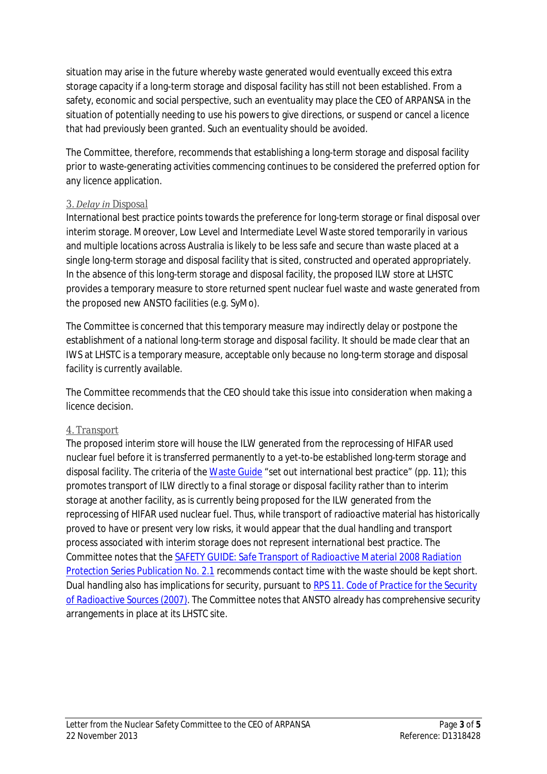situation may arise in the future whereby waste generated would eventually exceed this extra storage capacity if a long-term storage and disposal facility has still not been established. From a safety, economic and social perspective, such an eventuality may place the CEO of ARPANSA in the situation of potentially needing to use his powers to give directions, or suspend or cancel a licence that had previously been granted. Such an eventuality should be avoided.

The Committee, therefore, recommends that establishing a long-term storage and disposal facility prior to waste-generating activities commencing continues to be considered the preferred option for any licence application.

# 3. *Delay in Disposal*

International best practice points towards the preference for long-term storage or final disposal over interim storage. Moreover, Low Level and Intermediate Level Waste stored temporarily in various and multiple locations across Australia is likely to be less safe and secure than waste placed at a single long-term storage and disposal facility that is sited, constructed and operated appropriately. In the absence of this long-term storage and disposal facility, the proposed ILW store at LHSTC provides a temporary measure to store returned spent nuclear fuel waste and waste generated from the proposed new ANSTO facilities (e.g. SyMo).

The Committee is concerned that this temporary measure may indirectly delay or postpone the establishment of a national long-term storage and disposal facility. It should be made clear that an IWS at LHSTC is a temporary measure, acceptable only because no long-term storage and disposal facility is currently available.

The Committee recommends that the CEO should take this issue into consideration when making a licence decision.

# 4. *Transport*

The proposed interim store will house the ILW generated from the reprocessing of HIFAR used nuclear fuel before it is transferred permanently to a yet-to-be established long-term storage and disposal facility. The criteria of the [Waste Guide](http://www.arpansa.gov.au/pubs/waste/WasteGuide-March2013.pdf) "set out international best practice" (*pp*. 11); this promotes transport of ILW directly to a final storage or disposal facility rather than to interim storage at another facility, as is currently being proposed for the ILW generated from the reprocessing of HIFAR used nuclear fuel. Thus, while transport of radioactive material has historically proved to have or present very low risks, it would appear that the dual handling and transport process associated with interim storage does not represent international best practice. The Committee notes that the SAFETY GUIDE: *[Safe Transport of Radioactive Material 2008](http://www.arpansa.gov.au/pubs/rps/rps2_1.pdf) Radiation [Protection Series Publication No. 2.1](http://www.arpansa.gov.au/pubs/rps/rps2_1.pdf)* recommends contact time with the waste should be kept short. Dual handling also has implications for security, pursuant to RPS 11. *[Code of Practice for the Security](http://www.arpansa.gov.au/pubs/rps/rps11.pdf)  [of Radioactive Sources](http://www.arpansa.gov.au/pubs/rps/rps11.pdf)* (2007). The Committee notes that ANSTO already has comprehensive security arrangements in place at its LHSTC site.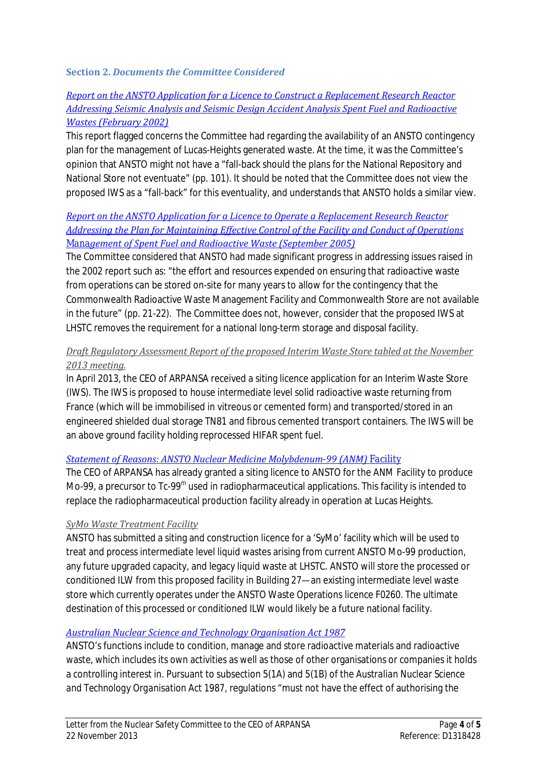#### **Section 2.** *Documents the Committee Considered*

#### *[Report on the ANSTO Application for a Licence to Construct a Replacement Research Reactor](http://www.arpansa.gov.au/pubs/nsc/nsc150302.pdf)  [Addressing Seismic Analysis and Seismic Design Accident Analysis Spent Fuel and Radioactive](http://www.arpansa.gov.au/pubs/nsc/nsc150302.pdf)  [Wastes \(February 2002\)](http://www.arpansa.gov.au/pubs/nsc/nsc150302.pdf)*

This report flagged concerns the Committee had regarding the availability of an ANSTO contingency plan for the management of Lucas-Heights generated waste. At the time, it was the Committee's opinion that ANSTO might not have a "fall-back should the plans for the National Repository and National Store not eventuate" (*pp*. 101). It should be noted that the Committee does not view the proposed IWS as a "fall-back" for this eventuality, and understands that ANSTO holds a similar view.

# *[Report on the ANSTO Application for a Licence to Operate a Replacement Research Reactor](http://www.arpansa.gov.au/pubs/nsc/nsc_op_lic_rpt.pdf)  [Addressing the Plan for Maintaining Effective Control of the Facility and Conduct of Operations](http://www.arpansa.gov.au/pubs/nsc/nsc_op_lic_rpt.pdf)  Mana[gement of Spent Fuel and Radioactive Waste \(September 2005\)](http://www.arpansa.gov.au/pubs/nsc/nsc_op_lic_rpt.pdf)*

The Committee considered that ANSTO had made significant progress in addressing issues raised in the 2002 report such as: "the effort and resources expended on ensuring that radioactive waste from operations can be stored on-site for many years to allow for the contingency that the Commonwealth Radioactive Waste Management Facility and Commonwealth Store are not available in the future" (*pp*. 21-22). The Committee does not, however, consider that the proposed IWS at LHSTC removes the requirement for a national long-term storage and disposal facility.

#### *Draft Regulatory Assessment Report of the proposed Interim Waste Store tabled at the November 2013 meeting.*

In April 2013, the CEO of ARPANSA received a siting licence application for an Interim Waste Store (IWS). The IWS is proposed to house intermediate level solid radioactive waste returning from France (which will be immobilised in vitreous or cemented form) and transported/stored in an engineered shielded dual storage TN81 and fibrous cemented transport containers. The IWS will be an above ground facility holding reprocessed HIFAR spent fuel.

#### *[Statement of Reasons: ANSTO Nuclear Medicine Molybdenum](http://www.arpansa.gov.au/pubs/regulatory/ansto/SOR_Mo99.pdf)-99 (ANM) Facility*

The CEO of ARPANSA has already granted a siting licence to ANSTO for the ANM Facility to produce Mo-99, a precursor to Tc-99<sup>m</sup> used in radiopharmaceutical applications. This facility is intended to replace the radiopharmaceutical production facility already in operation at Lucas Heights.

# *SyMo Waste Treatment Facility*

ANSTO has submitted a siting and construction licence for a 'SyMo' facility which will be used to treat and process intermediate level liquid wastes arising from current ANSTO Mo-99 production, any future upgraded capacity, and legacy liquid waste at LHSTC. ANSTO will store the processed or conditioned ILW from this proposed facility in Building 27—an existing intermediate level waste store which currently operates under the ANSTO Waste Operations licence F0260. The ultimate destination of this processed or conditioned ILW would likely be a future national facility.

# *[Australian Nuclear Science and Technology Organisation Act 1987](http://www.comlaw.gov.au/Details/C2012C00046)*

ANSTO's functions include to condition, manage and store radioactive materials and radioactive waste, which includes its own activities as well as those of other organisations or companies it holds a controlling interest in. Pursuant to subsection 5(1A) and 5(1B) of the *Australian Nuclear Science and Technology Organisation Act 1987,* regulations "must not have the effect of authorising the